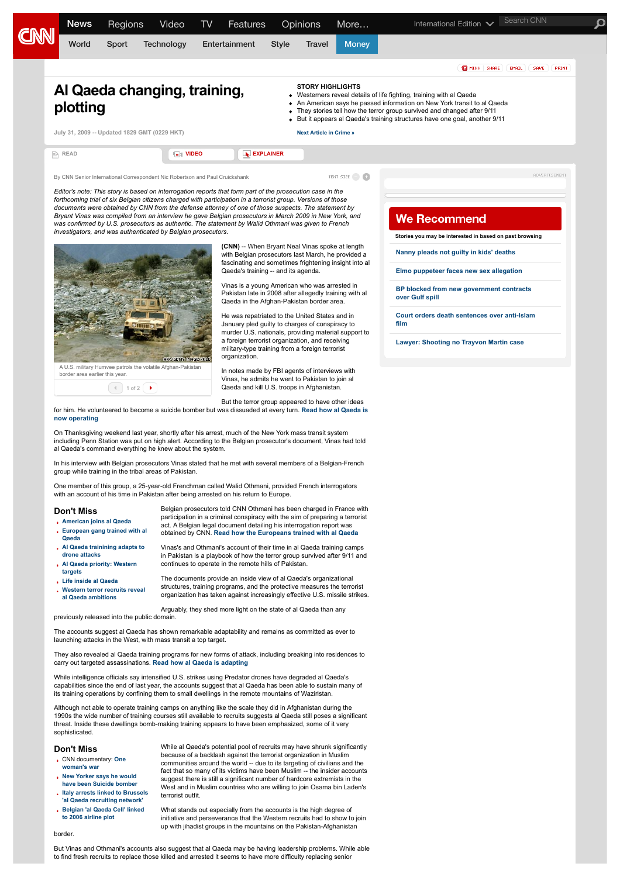

- **[European gang trained with al](http://edition.cnn.com/2009/CRIME/07/30/robertson.al.qaeda.europe/index.html) Qaeda**
- **[Al Qaeda trainining adapts to](http://edition.cnn.com/2009/CRIME/07/30/robertson.al.qaeda.training/index.html) drone attacks**
- **[Al Qaeda priority: Western](http://edition.cnn.com/2009/CRIME/07/30/robertson.al.qaeda.threat/index.html)**
- **targets [Life inside al Qaeda](http://edition.cnn.com/2009/CRIME/07/30/robertson.al.qaeda.inside/index.html)**
- **[Western terror recruits reveal](http://edition.cnn.com/2009/CRIME/07/30/robertson.al.qaeda.full/index.html)**
- **al Qaeda ambitions**
- The documents provide an inside view of al Qaeda's organizational structures, training programs, and the protective measures the terrorist organization has taken against increasingly effective U.S. missile strikes.

obtained by CNN. **[Read how the Europeans trained with al Qaeda](http://edition.cnn.com/2009/CRIME/07/30/robertson.al.qaeda.europe/index.html)** Vinas's and Othmani's account of their time in al Qaeda training camps in Pakistan is a playbook of how the terror group survived after 9/11 and

Arguably, they shed more light on the state of al Qaeda than any previously released into the public domain.

continues to operate in the remote hills of Pakistan.

The accounts suggest al Qaeda has shown remarkable adaptability and remains as committed as ever to launching attacks in the West, with mass transit a top target.

They also revealed al Qaeda training programs for new forms of attack, including breaking into residences to carry out targeted assassinations. **[Read how al Qaeda is adapting](http://edition.cnn.com/2009/CRIME/07/30/robertson.al.qaeda.training/index.html)**

While intelligence officials say intensified U.S. strikes using Predator drones have degraded al Qaeda's capabilities since the end of last year, the accounts suggest that al Qaeda has been able to sustain many of its training operations by confining them to small dwellings in the remote mountains of Waziristan.

Although not able to operate training camps on anything like the scale they did in Afghanistan during the 1990s the wide number of training courses still available to recruits suggests al Qaeda still poses a significant threat. Inside these dwellings bomb-making training appears to have been emphasized, some of it very sophisticated.

## **Don't Miss**

- [CNN documentary:](http://edition.cnn.com/2009/WORLD/europe/02/10/belgium.terror/index.html#cnnSTCVideo) **One**
- **woman's war**
- **New Yorker says he would [have been Suicide bomber](http://edition.cnn.com/2009/CRIME/07/23/us.terror.suspect/index.html)**
- **[Italy arrests linked to Brussels](http://edition.cnn.com/2009/WORLD/asiapcf/05/14/italy.alqaeda/index.html) 'al Qaeda recruiting network'**
- **[Belgian 'al Qaeda Cell' linked](http://edition.cnn.com/2009/WORLD/europe/02/10/belgium.terror/index.html) to 2006 airline plot**

communities around the world -- due to its targeting of civilians and the fact that so many of its victims have been Muslim -- the insider accounts suggest there is still a significant number of hardcore extremists in the West and in Muslim countries who are willing to join Osama bin Laden's terrorist outfit.

While al Qaeda's potential pool of recruits may have shrunk significantly because of a backlash against the terrorist organization in Muslim

What stands out especially from the accounts is the high degree of initiative and perseverance that the Western recruits had to show to join up with jihadist groups in the mountains on the Pakistan-Afghanistan

border.

But Vinas and Othmani's accounts also suggest that al Qaeda may be having leadership problems. While able to find fresh recruits to replace those killed and arrested it seems to have more difficulty replacing senior